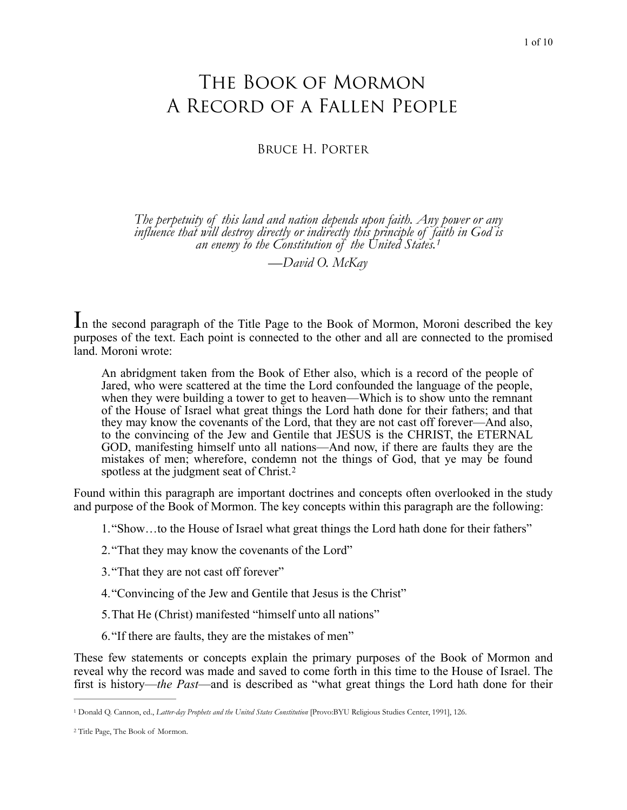# The Book of Mormon A Record of a Fallen People

Bruce H. Porter

*The perpetuity of this land and nation depends upon faith. Any power or any influence that will destroy directly or indirectly this principle of f[a](#page-0-0)ith in God is an enemy to the Constitution of the United States.[1](#page-0-0)*

<span id="page-0-2"></span>*—David O. McKay* 

In the second paragraph of the Title Page to the Book of Mormon, Moroni described the key purposes of the text. Each point is connected to the other and all are connected to the promised land. Moroni wrote:

An abridgment taken from the Book of Ether also, which is a record of the people of Jared, who were scattered at the time the Lord confounded the language of the people, when they were building a tower to get to heaven—Which is to show unto the remnant of the House of Israel what great things the Lord hath done for their fathers; and that they may know the covenants of the Lord, that they are not cast off forever—And also, to the convincing of the Jew and Gentile that JESUS is the CHRIST, the ETERNAL GOD, manifesting himself unto all nations—And now, if there are faults they are the mistakes of men; wherefore, condemn not the things of God, that ye may be found spotless at the judgment seat of Christ.<sup>[2](#page-0-1)</sup>

Found within this paragraph are important doctrines and concepts often overlooked in the study and purpose of the Book of Mormon. The key concepts within this paragraph are the following:

<span id="page-0-3"></span>1."Show…to the House of Israel what great things the Lord hath done for their fathers"

2."That they may know the covenants of the Lord"

- 3."That they are not cast off forever"
- 4."Convincing of the Jew and Gentile that Jesus is the Christ"
- 5.That He (Christ) manifested "himself unto all nations"
- 6."If there are faults, they are the mistakes of men"

These few statements or concepts explain the primary purposes of the Book of Mormon and reveal why the record was made and saved to come forth in this time to the House of Israel. The first is history—*the Past*—and is described as "what great things the Lord hath done for their

<span id="page-0-0"></span><sup>&</sup>lt;sup>[1](#page-0-2)</sup> Donald Q. Cannon, ed., *Latter-day Prophets and the United States Constitution* [Provo:BYU Religious Studies Center, 1991], 126.

<span id="page-0-1"></span><sup>&</sup>lt;sup>[2](#page-0-3)</sup> Title Page, The Book of Mormon.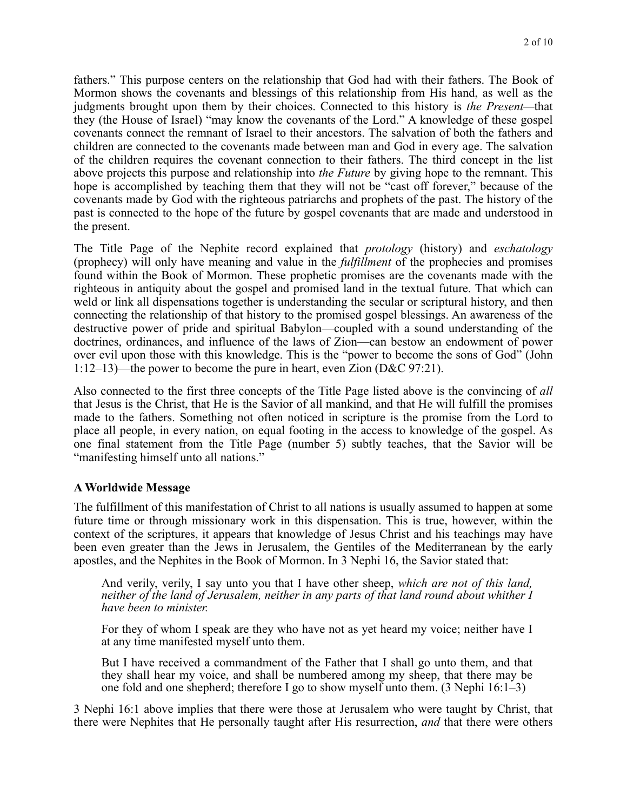fathers." This purpose centers on the relationship that God had with their fathers. The Book of Mormon shows the covenants and blessings of this relationship from His hand, as well as the judgments brought upon them by their choices. Connected to this history is *the Present—*that they (the House of Israel) "may know the covenants of the Lord." A knowledge of these gospel covenants connect the remnant of Israel to their ancestors. The salvation of both the fathers and children are connected to the covenants made between man and God in every age. The salvation of the children requires the covenant connection to their fathers. The third concept in the list above projects this purpose and relationship into *the Future* by giving hope to the remnant. This hope is accomplished by teaching them that they will not be "cast off forever," because of the covenants made by God with the righteous patriarchs and prophets of the past. The history of the past is connected to the hope of the future by gospel covenants that are made and understood in the present.

The Title Page of the Nephite record explained that *protology* (history) and *eschatology* (prophecy) will only have meaning and value in the *fulfillment* of the prophecies and promises found within the Book of Mormon. These prophetic promises are the covenants made with the righteous in antiquity about the gospel and promised land in the textual future. That which can weld or link all dispensations together is understanding the secular or scriptural history, and then connecting the relationship of that history to the promised gospel blessings. An awareness of the destructive power of pride and spiritual Babylon—coupled with a sound understanding of the doctrines, ordinances, and influence of the laws of Zion—can bestow an endowment of power over evil upon those with this knowledge. This is the "power to become the sons of God" (John 1:12–13)—the power to become the pure in heart, even Zion (D&C 97:21).

Also connected to the first three concepts of the Title Page listed above is the convincing of *all* that Jesus is the Christ, that He is the Savior of all mankind, and that He will fulfill the promises made to the fathers. Something not often noticed in scripture is the promise from the Lord to place all people, in every nation, on equal footing in the access to knowledge of the gospel. As one final statement from the Title Page (number 5) subtly teaches, that the Savior will be "manifesting himself unto all nations."

## **A Worldwide Message**

The fulfillment of this manifestation of Christ to all nations is usually assumed to happen at some future time or through missionary work in this dispensation. This is true, however, within the context of the scriptures, it appears that knowledge of Jesus Christ and his teachings may have been even greater than the Jews in Jerusalem, the Gentiles of the Mediterranean by the early apostles, and the Nephites in the Book of Mormon. In 3 Nephi 16, the Savior stated that:

And verily, verily, I say unto you that I have other sheep, *which are not of this land, neither of the land of Jerusalem, neither in any parts of that land round about whither I have been to minister.* 

For they of whom I speak are they who have not as yet heard my voice; neither have I at any time manifested myself unto them.

But I have received a commandment of the Father that I shall go unto them, and that they shall hear my voice, and shall be numbered among my sheep, that there may be one fold and one shepherd; therefore I go to show myself unto them. (3 Nephi 16:1–3)

3 Nephi 16:1 above implies that there were those at Jerusalem who were taught by Christ, that there were Nephites that He personally taught after His resurrection, *and* that there were others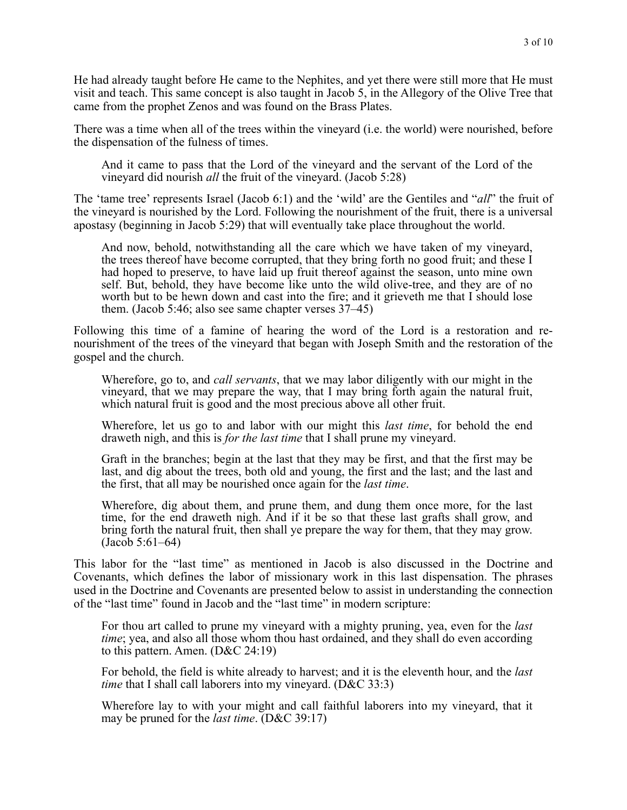He had already taught before He came to the Nephites, and yet there were still more that He must visit and teach. This same concept is also taught in Jacob 5, in the Allegory of the Olive Tree that came from the prophet Zenos and was found on the Brass Plates.

There was a time when all of the trees within the vineyard (i.e. the world) were nourished, before the dispensation of the fulness of times.

And it came to pass that the Lord of the vineyard and the servant of the Lord of the vineyard did nourish *all* the fruit of the vineyard. (Jacob 5:28)

The 'tame tree' represents Israel (Jacob 6:1) and the 'wild' are the Gentiles and "*all*" the fruit of the vineyard is nourished by the Lord. Following the nourishment of the fruit, there is a universal apostasy (beginning in Jacob 5:29) that will eventually take place throughout the world.

And now, behold, notwithstanding all the care which we have taken of my vineyard, the trees thereof have become corrupted, that they bring forth no good fruit; and these I had hoped to preserve, to have laid up fruit thereof against the season, unto mine own self. But, behold, they have become like unto the wild olive-tree, and they are of no worth but to be hewn down and cast into the fire; and it grieveth me that I should lose them. (Jacob 5:46; also see same chapter verses 37–45)

Following this time of a famine of hearing the word of the Lord is a restoration and renourishment of the trees of the vineyard that began with Joseph Smith and the restoration of the gospel and the church.

Wherefore, go to, and *call servants*, that we may labor diligently with our might in the vineyard, that we may prepare the way, that I may bring forth again the natural fruit, which natural fruit is good and the most precious above all other fruit.

Wherefore, let us go to and labor with our might this *last time*, for behold the end draweth nigh, and this is *for the last time* that I shall prune my vineyard.

Graft in the branches; begin at the last that they may be first, and that the first may be last, and dig about the trees, both old and young, the first and the last; and the last and the first, that all may be nourished once again for the *last time*.

Wherefore, dig about them, and prune them, and dung them once more, for the last time, for the end draweth nigh. And if it be so that these last grafts shall grow, and bring forth the natural fruit, then shall ye prepare the way for them, that they may grow. (Jacob 5:61–64)

This labor for the "last time" as mentioned in Jacob is also discussed in the Doctrine and Covenants, which defines the labor of missionary work in this last dispensation. The phrases used in the Doctrine and Covenants are presented below to assist in understanding the connection of the "last time" found in Jacob and the "last time" in modern scripture:

For thou art called to prune my vineyard with a mighty pruning, yea, even for the *last time*; yea, and also all those whom thou hast ordained, and they shall do even according to this pattern. Amen. (D&C 24:19)

For behold, the field is white already to harvest; and it is the eleventh hour, and the *last time* that I shall call laborers into my vineyard. (D&C 33:3)

Wherefore lay to with your might and call faithful laborers into my vineyard, that it may be pruned for the *last time*. (D&C 39:17)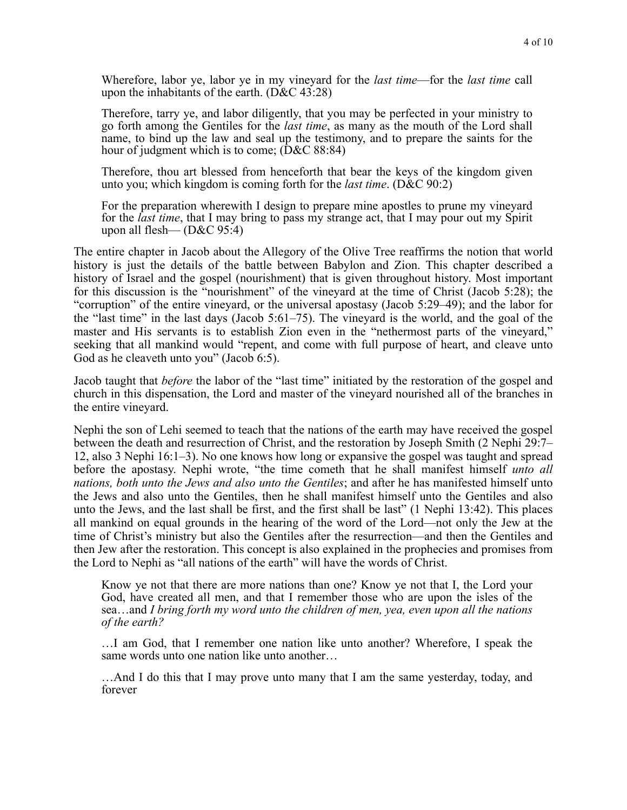Wherefore, labor ye, labor ye in my vineyard for the *last time*—for the *last time* call upon the inhabitants of the earth. (D&C 43:28)

Therefore, tarry ye, and labor diligently, that you may be perfected in your ministry to go forth among the Gentiles for the *last time*, as many as the mouth of the Lord shall name, to bind up the law and seal up the testimony, and to prepare the saints for the hour of judgment which is to come; (D&C 88:84)

Therefore, thou art blessed from henceforth that bear the keys of the kingdom given unto you; which kingdom is coming forth for the *last time*. (D&C 90:2)

For the preparation wherewith I design to prepare mine apostles to prune my vineyard for the *last time*, that I may bring to pass my strange act, that I may pour out my Spirit upon all flesh— (D&C 95:4)

The entire chapter in Jacob about the Allegory of the Olive Tree reaffirms the notion that world history is just the details of the battle between Babylon and Zion. This chapter described a history of Israel and the gospel (nourishment) that is given throughout history. Most important for this discussion is the "nourishment" of the vineyard at the time of Christ (Jacob 5:28); the "corruption" of the entire vineyard, or the universal apostasy (Jacob 5:29–49); and the labor for the "last time" in the last days (Jacob 5:61–75). The vineyard is the world, and the goal of the master and His servants is to establish Zion even in the "nethermost parts of the vineyard," seeking that all mankind would "repent, and come with full purpose of heart, and cleave unto God as he cleaveth unto you" (Jacob 6:5).

Jacob taught that *before* the labor of the "last time" initiated by the restoration of the gospel and church in this dispensation, the Lord and master of the vineyard nourished all of the branches in the entire vineyard.

Nephi the son of Lehi seemed to teach that the nations of the earth may have received the gospel between the death and resurrection of Christ, and the restoration by Joseph Smith (2 Nephi 29:7– 12, also 3 Nephi 16:1–3). No one knows how long or expansive the gospel was taught and spread before the apostasy. Nephi wrote, "the time cometh that he shall manifest himself *unto all nations, both unto the Jews and also unto the Gentiles*; and after he has manifested himself unto the Jews and also unto the Gentiles, then he shall manifest himself unto the Gentiles and also unto the Jews, and the last shall be first, and the first shall be last" (1 Nephi 13:42). This places all mankind on equal grounds in the hearing of the word of the Lord—not only the Jew at the time of Christ's ministry but also the Gentiles after the resurrection—and then the Gentiles and then Jew after the restoration. This concept is also explained in the prophecies and promises from the Lord to Nephi as "all nations of the earth" will have the words of Christ.

Know ye not that there are more nations than one? Know ye not that I, the Lord your God, have created all men, and that I remember those who are upon the isles of the sea…and *I bring forth my word unto the children of men, yea, even upon all the nations of the earth?* 

…I am God, that I remember one nation like unto another? Wherefore, I speak the same words unto one nation like unto another…

…And I do this that I may prove unto many that I am the same yesterday, today, and forever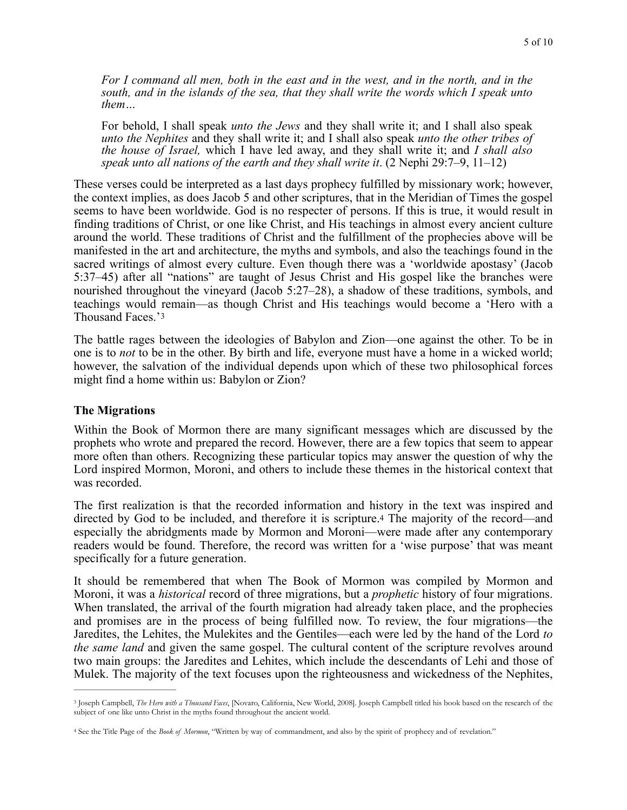*For I command all men, both in the east and in the west, and in the north, and in the south, and in the islands of the sea, that they shall write the words which I speak unto them…* 

For behold, I shall speak *unto the Jews* and they shall write it; and I shall also speak *unto the Nephites* and they shall write it; and I shall also speak *unto the other tribes of the house of Israel,* which I have led away, and they shall write it; and *I shall also speak unto all nations of the earth and they shall write it*. (2 Nephi 29:7–9, 11–12)

These verses could be interpreted as a last days prophecy fulfilled by missionary work; however, the context implies, as does Jacob 5 and other scriptures, that in the Meridian of Times the gospel seems to have been worldwide. God is no respecter of persons. If this is true, it would result in finding traditions of Christ, or one like Christ, and His teachings in almost every ancient culture around the world. These traditions of Christ and the fulfillment of the prophecies above will be manifested in the art and architecture, the myths and symbols, and also the teachings found in the sacred writings of almost every culture. Even though there was a 'worldwide apostasy' (Jacob 5:37–45) after all "nations" are taught of Jesus Christ and His gospel like the branches were nourished throughout the vineyard (Jacob 5:27–28), a shadow of these traditions, symbols, and teachings would remain—as though Christ and His teachings would become a 'Hero with a Thousand Faces.'[3](#page-4-0)

<span id="page-4-2"></span>The battle rages between the ideologies of Babylon and Zion—one against the other. To be in one is to *not* to be in the other. By birth and life, everyone must have a home in a wicked world; however, the salvation of the individual depends upon which of these two philosophical forces might find a home within us: Babylon or Zion?

#### **The Migrations**

Within the Book of Mormon there are many significant messages which are discussed by the prophets who wrote and prepared the record. However, there are a few topics that seem to appear more often than others. Recognizing these particular topics may answer the question of why the Lord inspired Mormon, Moroni, and others to include these themes in the historical context that was recorded.

<span id="page-4-3"></span>The first realization is that the recorded information and history in the text was inspired and directed by God to be included, and therefore it is scripture[.4](#page-4-1) The majority of the record—and especially the abridgments made by Mormon and Moroni—were made after any contemporary readers would be found. Therefore, the record was written for a 'wise purpose' that was meant specifically for a future generation.

It should be remembered that when The Book of Mormon was compiled by Mormon and Moroni, it was a *historical* record of three migrations, but a *prophetic* history of four migrations. When translated, the arrival of the fourth migration had already taken place, and the prophecies and promises are in the process of being fulfilled now. To review, the four migrations—the Jaredites, the Lehites, the Mulekites and the Gentiles—each were led by the hand of the Lord *to the same land* and given the same gospel. The cultural content of the scripture revolves around two main groups: the Jaredites and Lehites, which include the descendants of Lehi and those of Mulek. The majority of the text focuses upon the righteousness and wickedness of the Nephites,

<span id="page-4-0"></span><sup>&</sup>lt;sup>[3](#page-4-2)</sup> Joseph Campbell, *The Hero with a Thousand Faces*, [Novaro, California, New World, 2008]. Joseph Campbell titled his book based on the research of the subject of one like unto Christ in the myths found throughout the ancient world.

<span id="page-4-1"></span><sup>&</sup>lt;sup>[4](#page-4-3)</sup> See the Title Page of the *Book of Mormon*, "Written by way of commandment, and also by the spirit of prophecy and of revelation."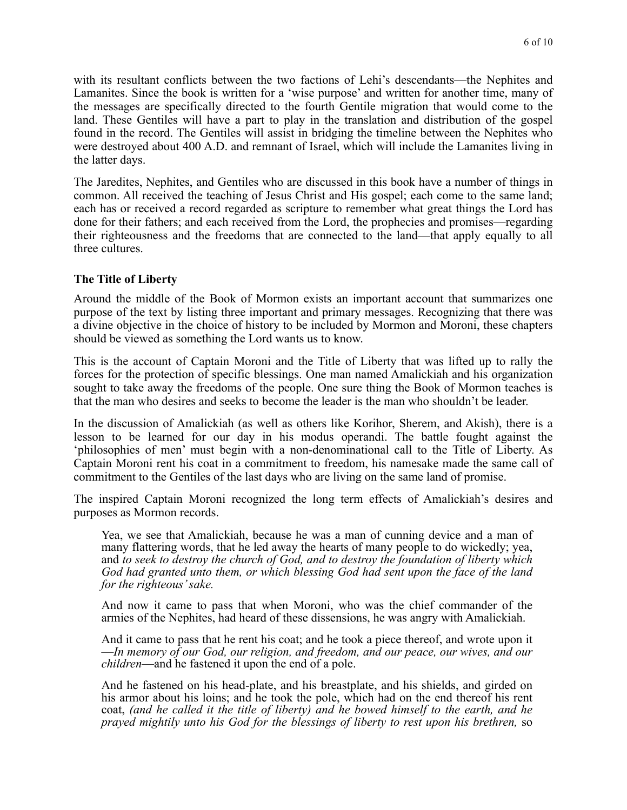with its resultant conflicts between the two factions of Lehi's descendants—the Nephites and Lamanites. Since the book is written for a 'wise purpose' and written for another time, many of the messages are specifically directed to the fourth Gentile migration that would come to the land. These Gentiles will have a part to play in the translation and distribution of the gospel found in the record. The Gentiles will assist in bridging the timeline between the Nephites who were destroyed about 400 A.D. and remnant of Israel, which will include the Lamanites living in the latter days.

The Jaredites, Nephites, and Gentiles who are discussed in this book have a number of things in common. All received the teaching of Jesus Christ and His gospel; each come to the same land; each has or received a record regarded as scripture to remember what great things the Lord has done for their fathers; and each received from the Lord, the prophecies and promises—regarding their righteousness and the freedoms that are connected to the land—that apply equally to all three cultures.

## **The Title of Liberty**

Around the middle of the Book of Mormon exists an important account that summarizes one purpose of the text by listing three important and primary messages. Recognizing that there was a divine objective in the choice of history to be included by Mormon and Moroni, these chapters should be viewed as something the Lord wants us to know.

This is the account of Captain Moroni and the Title of Liberty that was lifted up to rally the forces for the protection of specific blessings. One man named Amalickiah and his organization sought to take away the freedoms of the people. One sure thing the Book of Mormon teaches is that the man who desires and seeks to become the leader is the man who shouldn't be leader.

In the discussion of Amalickiah (as well as others like Korihor, Sherem, and Akish), there is a lesson to be learned for our day in his modus operandi. The battle fought against the 'philosophies of men' must begin with a non-denominational call to the Title of Liberty. As Captain Moroni rent his coat in a commitment to freedom, his namesake made the same call of commitment to the Gentiles of the last days who are living on the same land of promise.

The inspired Captain Moroni recognized the long term effects of Amalickiah's desires and purposes as Mormon records.

Yea, we see that Amalickiah, because he was a man of cunning device and a man of many flattering words, that he led away the hearts of many people to do wickedly; yea, and *to seek to destroy the church of God, and to destroy the foundation of liberty which God had granted unto them, or which blessing God had sent upon the face of the land for the righteous' sake.* 

And now it came to pass that when Moroni, who was the chief commander of the armies of the Nephites, had heard of these dissensions, he was angry with Amalickiah.

And it came to pass that he rent his coat; and he took a piece thereof, and wrote upon it —*In memory of our God, our religion, and freedom, and our peace, our wives, and our children*—and he fastened it upon the end of a pole.

And he fastened on his head-plate, and his breastplate, and his shields, and girded on his armor about his loins; and he took the pole, which had on the end thereof his rent coat, *(and he called it the title of liberty) and he bowed himself to the earth, and he prayed mightily unto his God for the blessings of liberty to rest upon his brethren,* so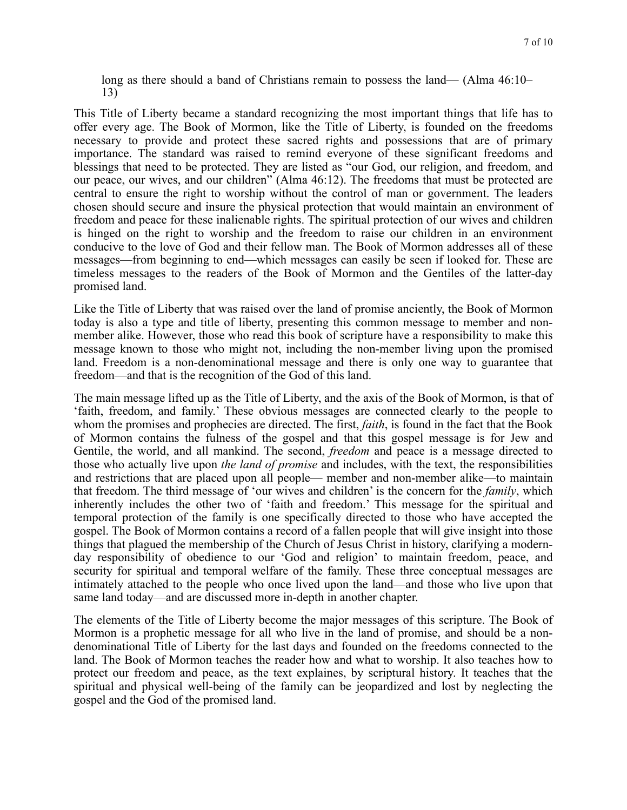long as there should a band of Christians remain to possess the land— (Alma 46:10– 13)

This Title of Liberty became a standard recognizing the most important things that life has to offer every age. The Book of Mormon, like the Title of Liberty, is founded on the freedoms necessary to provide and protect these sacred rights and possessions that are of primary importance. The standard was raised to remind everyone of these significant freedoms and blessings that need to be protected. They are listed as "our God, our religion, and freedom, and our peace, our wives, and our children" (Alma 46:12). The freedoms that must be protected are central to ensure the right to worship without the control of man or government. The leaders chosen should secure and insure the physical protection that would maintain an environment of freedom and peace for these inalienable rights. The spiritual protection of our wives and children is hinged on the right to worship and the freedom to raise our children in an environment conducive to the love of God and their fellow man. The Book of Mormon addresses all of these messages—from beginning to end—which messages can easily be seen if looked for. These are timeless messages to the readers of the Book of Mormon and the Gentiles of the latter-day promised land.

Like the Title of Liberty that was raised over the land of promise anciently, the Book of Mormon today is also a type and title of liberty, presenting this common message to member and nonmember alike. However, those who read this book of scripture have a responsibility to make this message known to those who might not, including the non-member living upon the promised land. Freedom is a non-denominational message and there is only one way to guarantee that freedom—and that is the recognition of the God of this land.

The main message lifted up as the Title of Liberty, and the axis of the Book of Mormon, is that of 'faith, freedom, and family.' These obvious messages are connected clearly to the people to whom the promises and prophecies are directed. The first, *faith*, is found in the fact that the Book of Mormon contains the fulness of the gospel and that this gospel message is for Jew and Gentile, the world, and all mankind. The second, *freedom* and peace is a message directed to those who actually live upon *the land of promise* and includes, with the text, the responsibilities and restrictions that are placed upon all people— member and non-member alike—to maintain that freedom. The third message of 'our wives and children' is the concern for the *family*, which inherently includes the other two of 'faith and freedom.' This message for the spiritual and temporal protection of the family is one specifically directed to those who have accepted the gospel. The Book of Mormon contains a record of a fallen people that will give insight into those things that plagued the membership of the Church of Jesus Christ in history, clarifying a modernday responsibility of obedience to our 'God and religion' to maintain freedom, peace, and security for spiritual and temporal welfare of the family. These three conceptual messages are intimately attached to the people who once lived upon the land—and those who live upon that same land today—and are discussed more in-depth in another chapter.

The elements of the Title of Liberty become the major messages of this scripture. The Book of Mormon is a prophetic message for all who live in the land of promise, and should be a nondenominational Title of Liberty for the last days and founded on the freedoms connected to the land. The Book of Mormon teaches the reader how and what to worship. It also teaches how to protect our freedom and peace, as the text explaines, by scriptural history. It teaches that the spiritual and physical well-being of the family can be jeopardized and lost by neglecting the gospel and the God of the promised land.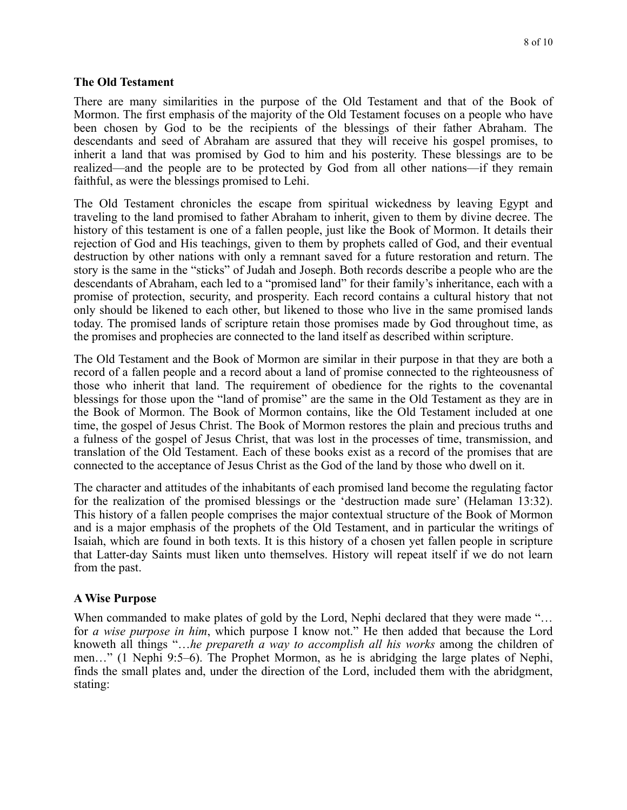#### **The Old Testament**

There are many similarities in the purpose of the Old Testament and that of the Book of Mormon. The first emphasis of the majority of the Old Testament focuses on a people who have been chosen by God to be the recipients of the blessings of their father Abraham. The descendants and seed of Abraham are assured that they will receive his gospel promises, to inherit a land that was promised by God to him and his posterity. These blessings are to be realized—and the people are to be protected by God from all other nations—if they remain faithful, as were the blessings promised to Lehi.

The Old Testament chronicles the escape from spiritual wickedness by leaving Egypt and traveling to the land promised to father Abraham to inherit, given to them by divine decree. The history of this testament is one of a fallen people, just like the Book of Mormon. It details their rejection of God and His teachings, given to them by prophets called of God, and their eventual destruction by other nations with only a remnant saved for a future restoration and return. The story is the same in the "sticks" of Judah and Joseph. Both records describe a people who are the descendants of Abraham, each led to a "promised land" for their family's inheritance, each with a promise of protection, security, and prosperity. Each record contains a cultural history that not only should be likened to each other, but likened to those who live in the same promised lands today. The promised lands of scripture retain those promises made by God throughout time, as the promises and prophecies are connected to the land itself as described within scripture.

The Old Testament and the Book of Mormon are similar in their purpose in that they are both a record of a fallen people and a record about a land of promise connected to the righteousness of those who inherit that land. The requirement of obedience for the rights to the covenantal blessings for those upon the "land of promise" are the same in the Old Testament as they are in the Book of Mormon. The Book of Mormon contains, like the Old Testament included at one time, the gospel of Jesus Christ. The Book of Mormon restores the plain and precious truths and a fulness of the gospel of Jesus Christ, that was lost in the processes of time, transmission, and translation of the Old Testament. Each of these books exist as a record of the promises that are connected to the acceptance of Jesus Christ as the God of the land by those who dwell on it.

The character and attitudes of the inhabitants of each promised land become the regulating factor for the realization of the promised blessings or the 'destruction made sure' (Helaman 13:32). This history of a fallen people comprises the major contextual structure of the Book of Mormon and is a major emphasis of the prophets of the Old Testament, and in particular the writings of Isaiah, which are found in both texts. It is this history of a chosen yet fallen people in scripture that Latter-day Saints must liken unto themselves. History will repeat itself if we do not learn from the past.

## **A Wise Purpose**

When commanded to make plates of gold by the Lord, Nephi declared that they were made "... for *a wise purpose in him*, which purpose I know not." He then added that because the Lord knoweth all things "…*he prepareth a way to accomplish all his works* among the children of men…" (1 Nephi 9:5–6). The Prophet Mormon, as he is abridging the large plates of Nephi, finds the small plates and, under the direction of the Lord, included them with the abridgment, stating: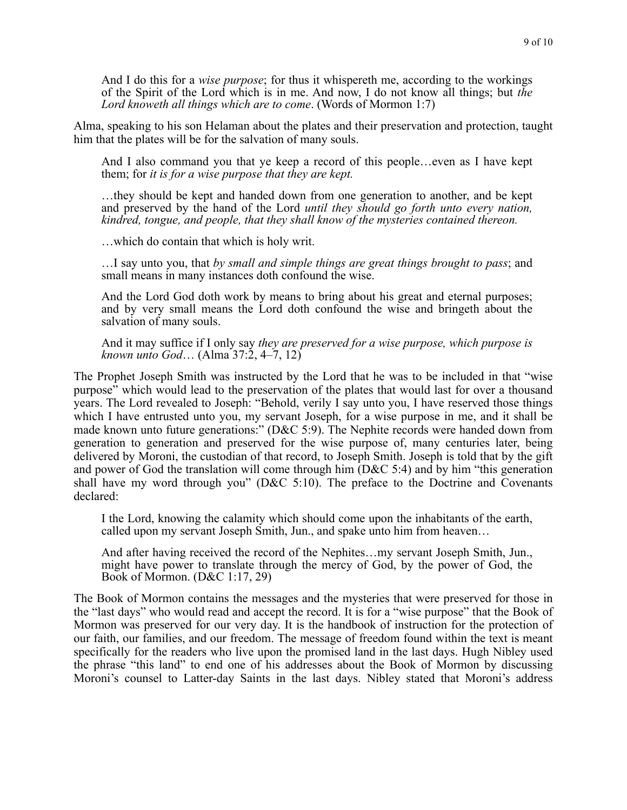And I do this for a *wise purpose*; for thus it whispereth me, according to the workings of the Spirit of the Lord which is in me. And now, I do not know all things; but *the Lord knoweth all things which are to come*. (Words of Mormon 1:7)

Alma, speaking to his son Helaman about the plates and their preservation and protection, taught him that the plates will be for the salvation of many souls.

And I also command you that ye keep a record of this people…even as I have kept them; for *it is for a wise purpose that they are kept.* 

…they should be kept and handed down from one generation to another, and be kept and preserved by the hand of the Lord *until they should go forth unto every nation, kindred, tongue, and people, that they shall know of the mysteries contained thereon.* 

…which do contain that which is holy writ.

…I say unto you, that *by small and simple things are great things brought to pass*; and small means in many instances doth confound the wise.

And the Lord God doth work by means to bring about his great and eternal purposes; and by very small means the Lord doth confound the wise and bringeth about the salvation of many souls.

And it may suffice if I only say *they are preserved for a wise purpose, which purpose is known unto God*… (Alma 37:2, 4–7, 12)

The Prophet Joseph Smith was instructed by the Lord that he was to be included in that "wise purpose" which would lead to the preservation of the plates that would last for over a thousand years. The Lord revealed to Joseph: "Behold, verily I say unto you, I have reserved those things which I have entrusted unto you, my servant Joseph, for a wise purpose in me, and it shall be made known unto future generations:" (D&C 5:9). The Nephite records were handed down from generation to generation and preserved for the wise purpose of, many centuries later, being delivered by Moroni, the custodian of that record, to Joseph Smith. Joseph is told that by the gift and power of God the translation will come through him (D&C 5:4) and by him "this generation shall have my word through you" (D&C 5:10). The preface to the Doctrine and Covenants declared:

I the Lord, knowing the calamity which should come upon the inhabitants of the earth, called upon my servant Joseph Smith, Jun., and spake unto him from heaven…

And after having received the record of the Nephites…my servant Joseph Smith, Jun., might have power to translate through the mercy of God, by the power of God, the Book of Mormon. (D&C 1:17, 29)

The Book of Mormon contains the messages and the mysteries that were preserved for those in the "last days" who would read and accept the record. It is for a "wise purpose" that the Book of Mormon was preserved for our very day. It is the handbook of instruction for the protection of our faith, our families, and our freedom. The message of freedom found within the text is meant specifically for the readers who live upon the promised land in the last days. Hugh Nibley used the phrase "this land" to end one of his addresses about the Book of Mormon by discussing Moroni's counsel to Latter-day Saints in the last days. Nibley stated that Moroni's address